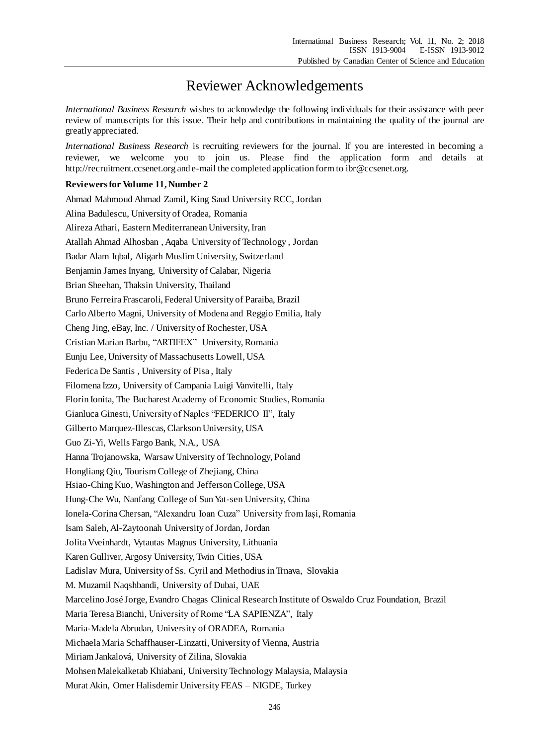## Reviewer Acknowledgements

*International Business Research* wishes to acknowledge the following individuals for their assistance with peer review of manuscripts for this issue. Their help and contributions in maintaining the quality of the journal are greatly appreciated.

*International Business Research* is recruiting reviewers for the journal. If you are interested in becoming a reviewer, we welcome you to join us. Please find the application form and details at http://recruitment.ccsenet.org and e-mail the completed application form to ibr@ccsenet.org.

## **Reviewers for Volume 11, Number 2**

Ahmad Mahmoud Ahmad Zamil, King Saud University RCC, Jordan Alina Badulescu, University of Oradea, Romania Alireza Athari, Eastern Mediterranean University, Iran Atallah Ahmad Alhosban , Aqaba University of Technology , Jordan Badar Alam Iqbal, Aligarh Muslim University, Switzerland Benjamin James Inyang, University of Calabar, Nigeria Brian Sheehan, Thaksin University, Thailand Bruno Ferreira Frascaroli, Federal University of Paraiba, Brazil Carlo Alberto Magni, University of Modena and Reggio Emilia, Italy Cheng Jing, eBay, Inc. / University of Rochester, USA Cristian Marian Barbu, "ARTIFEX" University, Romania Eunju Lee, University of Massachusetts Lowell, USA Federica De Santis , University of Pisa , Italy Filomena Izzo, University of Campania Luigi Vanvitelli, Italy Florin Ionita, The Bucharest Academy of Economic Studies, Romania Gianluca Ginesti, University of Naples "FEDERICO II", Italy Gilberto Marquez-Illescas, Clarkson University, USA Guo Zi-Yi, Wells Fargo Bank, N.A., USA Hanna Trojanowska, Warsaw University of Technology, Poland Hongliang Qiu, Tourism College of Zhejiang, China Hsiao-Ching Kuo, Washington and Jefferson College, USA Hung-Che Wu, Nanfang College of Sun Yat-sen University, China Ionela-Corina Chersan, "Alexandru Ioan Cuza" University from Iași, Romania Isam Saleh, Al-Zaytoonah University of Jordan, Jordan Jolita Vveinhardt, Vytautas Magnus University, Lithuania Karen Gulliver, Argosy University, Twin Cities, USA Ladislav Mura, University of Ss. Cyril and Methodius in Trnava, Slovakia M. Muzamil Naqshbandi, University of Dubai, UAE Marcelino José Jorge, Evandro Chagas Clinical Research Institute of Oswaldo Cruz Foundation, Brazil Maria Teresa Bianchi, University of Rome "LA SAPIENZA", Italy Maria-Madela Abrudan, University of ORADEA, Romania Michaela Maria Schaffhauser-Linzatti, University of Vienna, Austria Miriam Jankalová, University of Zilina, Slovakia Mohsen Malekalketab Khiabani, University Technology Malaysia, Malaysia Murat Akin, Omer Halisdemir University FEAS – NIGDE, Turkey